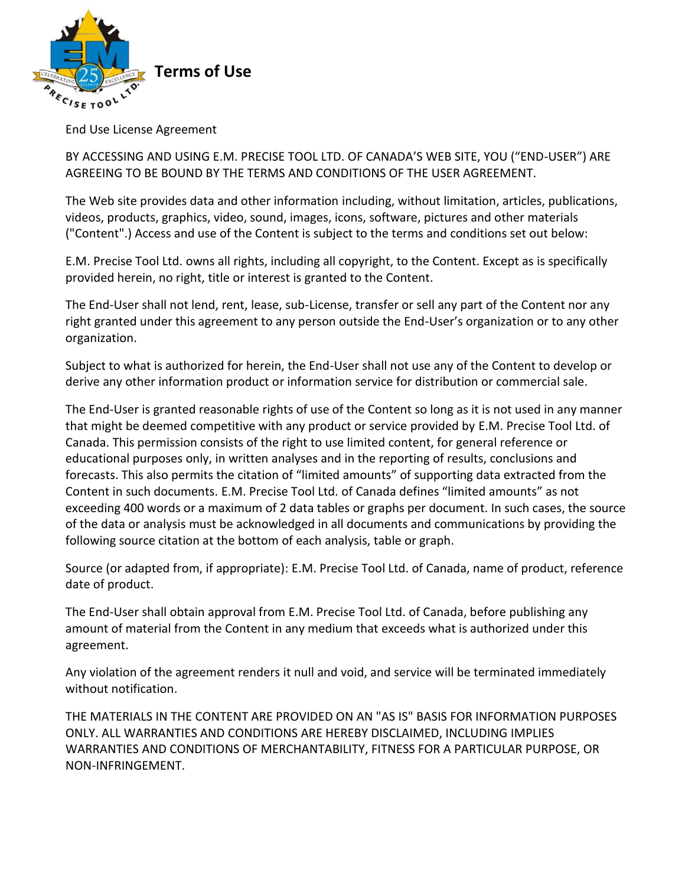

End Use License Agreement

BY ACCESSING AND USING E.M. PRECISE TOOL LTD. OF CANADA'S WEB SITE, YOU ("END-USER") ARE AGREEING TO BE BOUND BY THE TERMS AND CONDITIONS OF THE USER AGREEMENT.

The Web site provides data and other information including, without limitation, articles, publications, videos, products, graphics, video, sound, images, icons, software, pictures and other materials ("Content".) Access and use of the Content is subject to the terms and conditions set out below:

E.M. Precise Tool Ltd. owns all rights, including all copyright, to the Content. Except as is specifically provided herein, no right, title or interest is granted to the Content.

The End-User shall not lend, rent, lease, sub-License, transfer or sell any part of the Content nor any right granted under this agreement to any person outside the End-User's organization or to any other organization.

Subject to what is authorized for herein, the End-User shall not use any of the Content to develop or derive any other information product or information service for distribution or commercial sale.

The End-User is granted reasonable rights of use of the Content so long as it is not used in any manner that might be deemed competitive with any product or service provided by E.M. Precise Tool Ltd. of Canada. This permission consists of the right to use limited content, for general reference or educational purposes only, in written analyses and in the reporting of results, conclusions and forecasts. This also permits the citation of "limited amounts" of supporting data extracted from the Content in such documents. E.M. Precise Tool Ltd. of Canada defines "limited amounts" as not exceeding 400 words or a maximum of 2 data tables or graphs per document. In such cases, the source of the data or analysis must be acknowledged in all documents and communications by providing the following source citation at the bottom of each analysis, table or graph.

Source (or adapted from, if appropriate): E.M. Precise Tool Ltd. of Canada, name of product, reference date of product.

The End-User shall obtain approval from E.M. Precise Tool Ltd. of Canada, before publishing any amount of material from the Content in any medium that exceeds what is authorized under this agreement.

Any violation of the agreement renders it null and void, and service will be terminated immediately without notification.

THE MATERIALS IN THE CONTENT ARE PROVIDED ON AN "AS IS" BASIS FOR INFORMATION PURPOSES ONLY. ALL WARRANTIES AND CONDITIONS ARE HEREBY DISCLAIMED, INCLUDING IMPLIES WARRANTIES AND CONDITIONS OF MERCHANTABILITY, FITNESS FOR A PARTICULAR PURPOSE, OR NON-INFRINGEMENT.